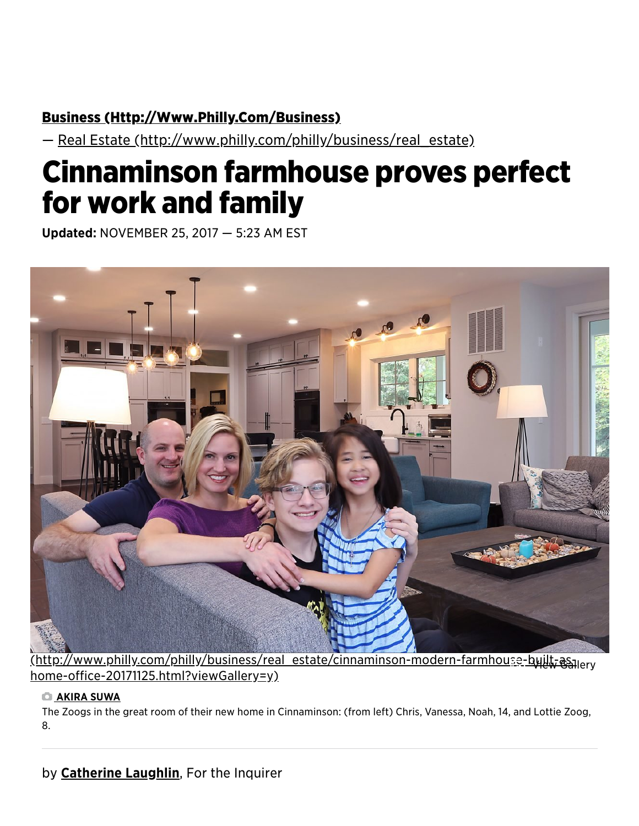## Business (Http://Www[.Philly.Com/B](http://www.philly.com/business)usiness)

— Real Estate (http://www[.philly.com/philly/b](http://www.philly.com/philly/business/real_estate)usiness/real\_estate)

# Cinnaminson farmhouse proves perfect for work and family

Updated: NOVEMBER 25, 2017 — 5:23 AM EST



(http://www[.philly.com/philly/b](http://www.philly.com/philly/business/real_estate/cinnaminson-modern-farmhouse-built-as-home-office-20171125.html?viewGallery=y)usiness/real\_estate/cinnaminson-modern-farmhouse-built-as-View Galleryhome-office-20171125.html?viewGallery=y)

#### **CI AKIRA SUWA**

The Zoogs in the great room of their new home in Cinnaminson: (from left) Chris, Vanessa, Noah, 14, and Lottie Zoog, 8.

## by **Catherine Laughlin**, For the Inquirer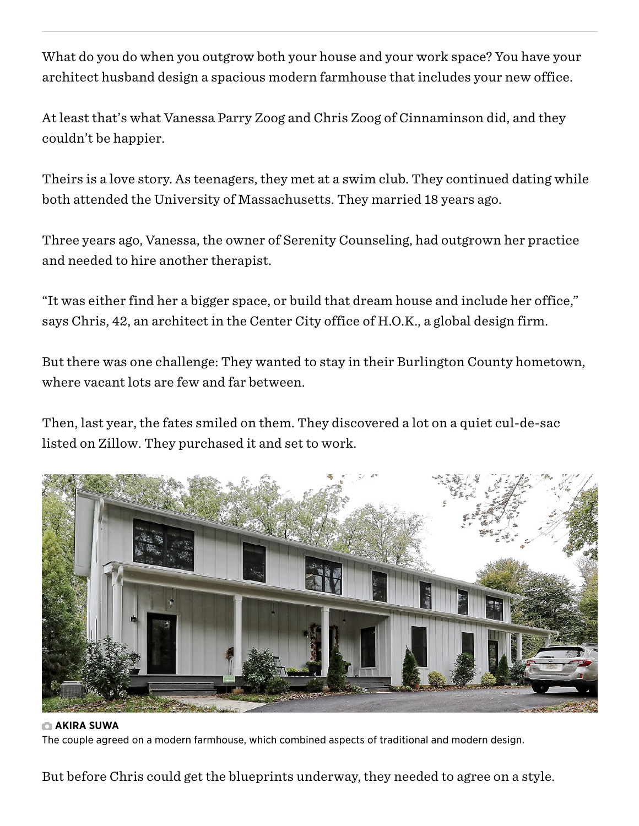What do you do when you outgrow both your house and your work space? You have your architect husband design a spacious modern farmhouse that includes your new office.

At least that's what Vanessa Parry Zoog and Chris Zoog of Cinnaminson did, and they couldn't be happier.

Theirs is a love story. As teenagers, they met at a swim club. They continued dating while both attended the University of Massachusetts. They married 18 years ago.

Three years ago, Vanessa, the owner of Serenity Counseling, had outgrown her practice and needed to hire another therapist.

"It was either find her a bigger space, or build that dream house and include her office," says Chris, 42, an architect in the Center City office of H.O.K., a global design firm.

But there was one challenge: They wanted to stay in their Burlington County hometown, where vacant lots are few and far between.

Then, last year, the fates smiled on them. They discovered a lot on a quiet cul-de-sac listed on Zillow. They purchased it and set to work.



### **C** AKIRA SUWA

The couple agreed on a modern farmhouse, which combined aspects of traditional and modern design.

But before Chris could get the blueprints underway, they needed to agree on a style.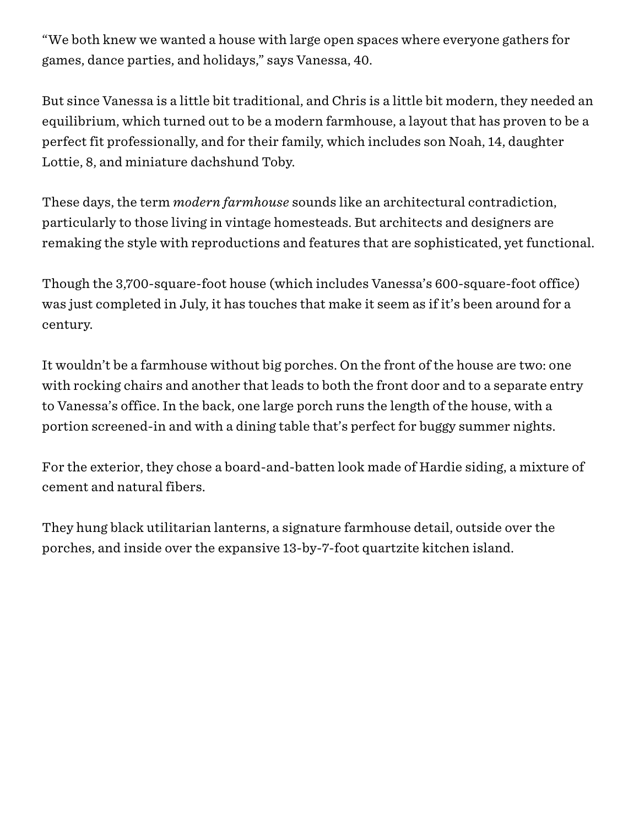"We both knew we wanted a house with large open spaces where everyone gathers for games, dance parties, and holidays," says Vanessa, 40.

But since Vanessa is a little bit traditional, and Chris is a little bit modern, they needed an equilibrium, which turned out to be a modern farmhouse, a layout that has proven to be a perfect fit professionally, and for their family, which includes son Noah, 14, daughter Lottie, 8, and miniature dachshund Toby.

These days, the term *modern farmhouse* sounds like an architectural contradiction, particularly to those living in vintage homesteads. But architects and designers are remaking the style with reproductions and features that are sophisticated, yet functional.

Though the 3,700-square-foot house (which includes Vanessa's 600-square-foot office) was just completed in July, it has touches that make it seem as if it's been around for a century.

It wouldn't be a farmhouse without big porches. On the front of the house are two: one with rocking chairs and another that leads to both the front door and to a separate entry to Vanessa's office. In the back, one large porch runs the length of the house, with a portion screened-in and with a dining table that's perfect for buggy summer nights.

For the exterior, they chose a board-and-batten look made of Hardie siding, a mixture of cement and natural fibers.

They hung black utilitarian lanterns, a signature farmhouse detail, outside over the porches, and inside over the expansive 13-by-7-foot quartzite kitchen island.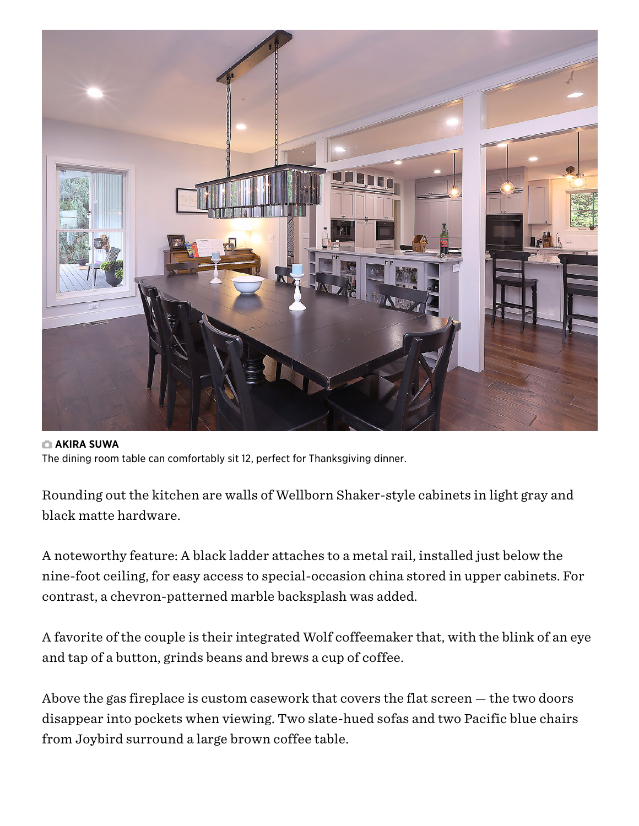

#### **CI AKIRA SUWA** The dining room table can comfortably sit 12, perfect for Thanksgiving dinner.

Rounding out the kitchen are walls of Wellborn Shaker-style cabinets in light gray and black matte hardware.

A noteworthy feature: A black ladder attaches to a metal rail, installed just below the nine-foot ceiling, for easy access to special-occasion china stored in upper cabinets. For contrast, a chevron-patterned marble backsplash was added.

A favorite of the couple is their integrated Wolf coffeemaker that, with the blink of an eye and tap of a button, grinds beans and brews a cup of coffee.

Above the gas fireplace is custom casework that covers the flat screen — the two doors disappear into pockets when viewing. Two slate-hued sofas and two Pacific blue chairs from Joybird surround a large brown coffee table.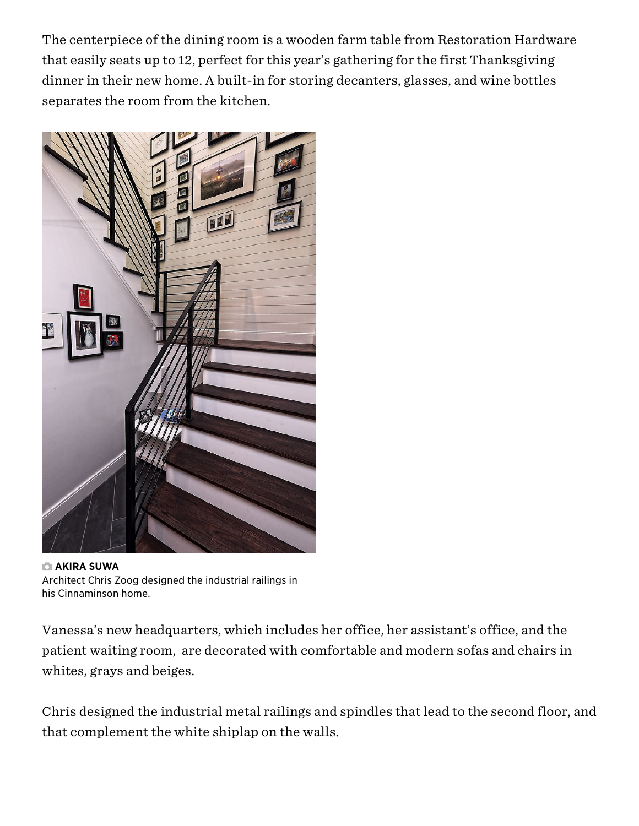The centerpiece of the dining room is a wooden farm table from Restoration Hardware that easily seats up to 12, perfect for this year's gathering for the first Thanksgiving dinner in their new home. A built-in for storing decanters, glasses, and wine bottles separates the room from the kitchen.



**C** AKIRA SUWA Architect Chris Zoog designed the industrial railings in his Cinnaminson home.

Vanessa's new headquarters, which includes her office, her assistant's office, and the patient waiting room, are decorated with comfortable and modern sofas and chairs in whites, grays and beiges.

Chris designed the industrial metal railings and spindles that lead to the second floor, and that complement the white shiplap on the walls.